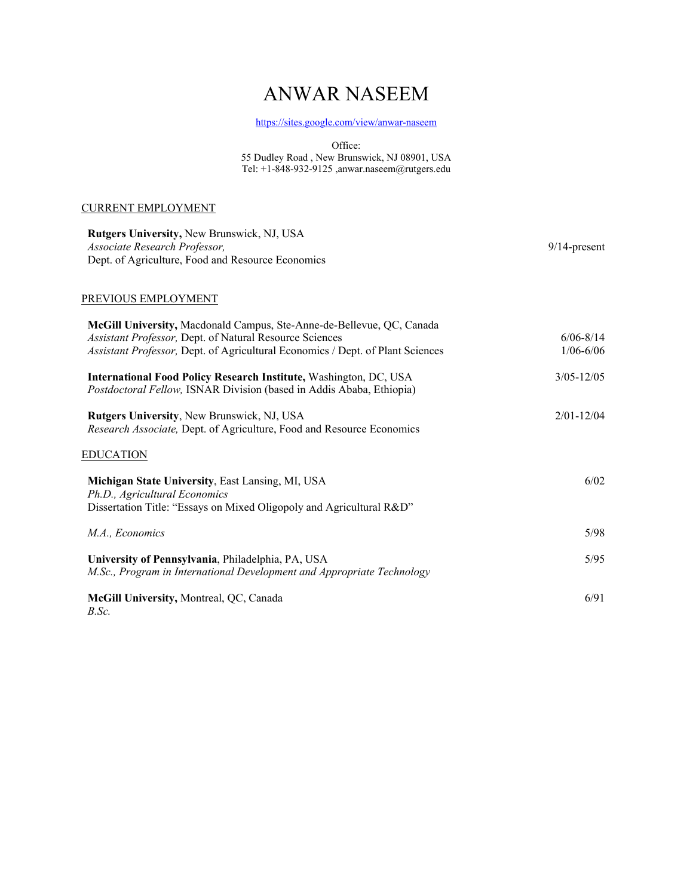# ANWAR NASEEM

<https://sites.google.com/view/anwar-naseem>

Office:

55 Dudley Road , New Brunswick, NJ 08901, USA Tel: +1-848-932-9125 ,anwar.naseem@rutgers.edu

## CURRENT EMPLOYMENT

| Rutgers University, New Brunswick, NJ, USA<br>Associate Research Professor,<br>Dept. of Agriculture, Food and Resource Economics                                                                                   | $9/14$ -present                |
|--------------------------------------------------------------------------------------------------------------------------------------------------------------------------------------------------------------------|--------------------------------|
| PREVIOUS EMPLOYMENT                                                                                                                                                                                                |                                |
| McGill University, Macdonald Campus, Ste-Anne-de-Bellevue, QC, Canada<br>Assistant Professor, Dept. of Natural Resource Sciences<br>Assistant Professor, Dept. of Agricultural Economics / Dept. of Plant Sciences | $6/06 - 8/14$<br>$1/06 - 6/06$ |
| International Food Policy Research Institute, Washington, DC, USA<br>Postdoctoral Fellow, ISNAR Division (based in Addis Ababa, Ethiopia)                                                                          | $3/05 - 12/05$                 |
| Rutgers University, New Brunswick, NJ, USA<br>Research Associate, Dept. of Agriculture, Food and Resource Economics                                                                                                | $2/01 - 12/04$                 |
| <b>EDUCATION</b>                                                                                                                                                                                                   |                                |
| Michigan State University, East Lansing, MI, USA<br>Ph.D., Agricultural Economics<br>Dissertation Title: "Essays on Mixed Oligopoly and Agricultural R&D"                                                          | 6/02                           |
| M.A., Economics                                                                                                                                                                                                    | 5/98                           |
| University of Pennsylvania, Philadelphia, PA, USA<br>M.Sc., Program in International Development and Appropriate Technology                                                                                        | 5/95                           |
| McGill University, Montreal, QC, Canada<br>B.Sc.                                                                                                                                                                   | 6/91                           |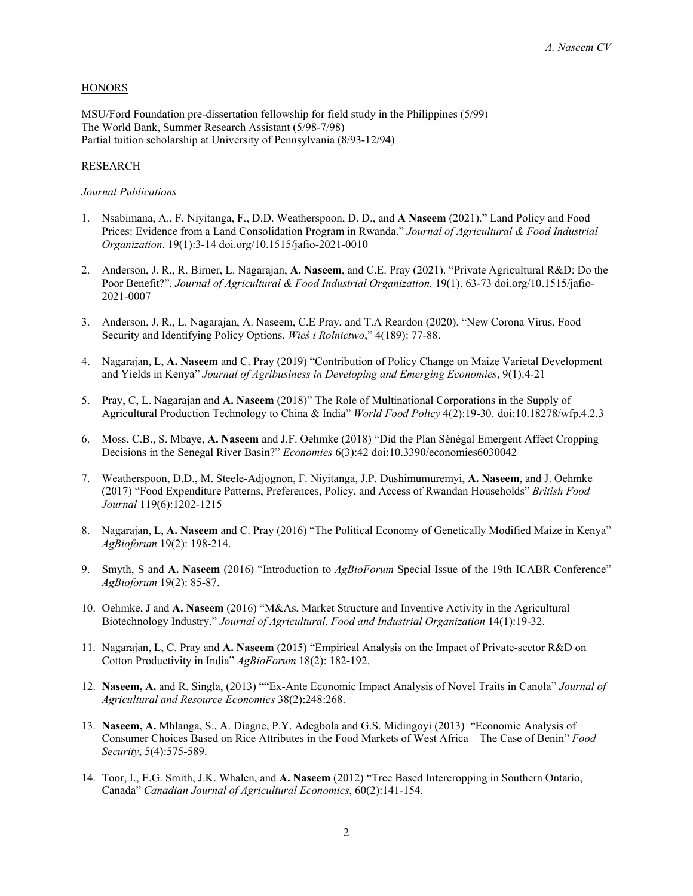### **HONORS**

MSU/Ford Foundation pre-dissertation fellowship for field study in the Philippines (5/99) The World Bank, Summer Research Assistant (5/98-7/98) Partial tuition scholarship at University of Pennsylvania (8/93-12/94)

## RESEARCH

## *Journal Publications*

- 1. Nsabimana, A., F. Niyitanga, F., D.D. Weatherspoon, D. D., and **A Naseem** (2021)." Land Policy and Food Prices: Evidence from a Land Consolidation Program in Rwanda." *Journal of Agricultural & Food Industrial Organization*. 19(1):3-14 doi.org/10.1515/jafio-2021-0010
- 2. Anderson, J. R., R. Birner, L. Nagarajan, **A. Naseem**, and C.E. Pray (2021). "Private Agricultural R&D: Do the Poor Benefit?". *Journal of Agricultural & Food Industrial Organization.* 19(1). 63-73 doi.org/10.1515/jafio-2021-0007
- 3. Anderson, J. R., L. Nagarajan, A. Naseem, C.E Pray, and T.A Reardon (2020). "New Corona Virus, Food Security and Identifying Policy Options. *Wieś i Rolnictwo*," 4(189): 77-88.
- 4. Nagarajan, L, **A. Naseem** and C. Pray (2019) "Contribution of Policy Change on Maize Varietal Development and Yields in Kenya" *Journal of Agribusiness in Developing and Emerging Economies*, 9(1):4-21
- 5. Pray, C, L. Nagarajan and **A. Naseem** (2018)" The Role of Multinational Corporations in the Supply of Agricultural Production Technology to China & India" *World Food Policy* 4(2):19-30. doi:10.18278/wfp.4.2.3
- 6. Moss, C.B., S. Mbaye, **A. Naseem** and J.F. Oehmke (2018) "Did the Plan Sénégal Emergent Affect Cropping Decisions in the Senegal River Basin?" *Economies* 6(3):42 doi:10.3390/economies6030042
- 7. Weatherspoon, D.D., M. Steele-Adjognon, F. Niyitanga, J.P. Dushimumuremyi, **A. Naseem**, and J. Oehmke (2017) "Food Expenditure Patterns, Preferences, Policy, and Access of Rwandan Households" *British Food Journal* 119(6):1202-1215
- 8. Nagarajan, L, **A. Naseem** and C. Pray (2016) "The Political Economy of Genetically Modified Maize in Kenya" *AgBioforum* 19(2): 198-214.
- 9. Smyth, S and **A. Naseem** (2016) "Introduction to *AgBioForum* Special Issue of the 19th ICABR Conference" *AgBioforum* 19(2): 85-87.
- 10. Oehmke, J and **A. Naseem** (2016) "M&As, Market Structure and Inventive Activity in the Agricultural Biotechnology Industry." *Journal of Agricultural, Food and Industrial Organization* 14(1):19-32.
- 11. Nagarajan, L, C. Pray and **A. Naseem** (2015) "Empirical Analysis on the Impact of Private-sector R&D on Cotton Productivity in India" *AgBioForum* 18(2): 182-192.
- 12. **Naseem, A.** and R. Singla, (2013) ""Ex-Ante Economic Impact Analysis of Novel Traits in Canola" *Journal of Agricultural and Resource Economics* 38(2):248:268.
- 13. **Naseem, A.** Mhlanga, S., A. Diagne, P.Y. Adegbola and G.S. Midingoyi (2013) "Economic Analysis of Consumer Choices Based on Rice Attributes in the Food Markets of West Africa – The Case of Benin" *Food Security*, 5(4):575-589.
- 14. Toor, I., E.G. Smith, J.K. Whalen, and **A. Naseem** (2012) "Tree Based Intercropping in Southern Ontario, Canada" *Canadian Journal of Agricultural Economics*, 60(2):141-154.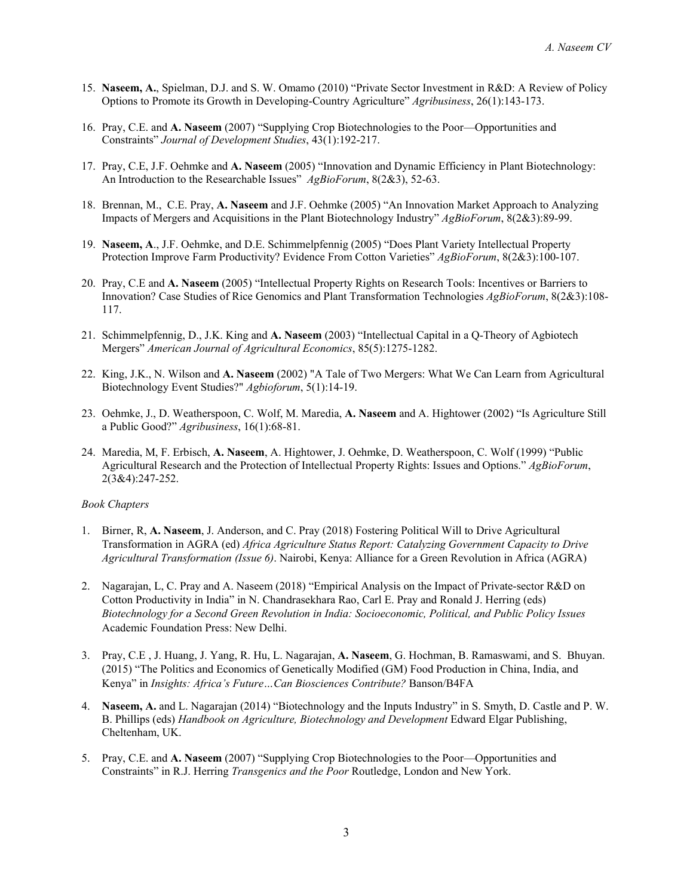- 15. **Naseem, A.**, Spielman, D.J. and S. W. Omamo (2010) "Private Sector Investment in R&D: A Review of Policy Options to Promote its Growth in Developing-Country Agriculture" *Agribusiness*, 26(1):143-173.
- 16. Pray, C.E. and **A. Naseem** (2007) "Supplying Crop Biotechnologies to the Poor—Opportunities and Constraints" *Journal of Development Studies*, 43(1):192-217.
- 17. Pray, C.E, J.F. Oehmke and **A. Naseem** (2005) "Innovation and Dynamic Efficiency in Plant Biotechnology: An Introduction to the Researchable Issues" *AgBioForum*, 8(2&3), 52-63.
- 18. Brennan, M., C.E. Pray, **A. Naseem** and J.F. Oehmke (2005) "An Innovation Market Approach to Analyzing Impacts of Mergers and Acquisitions in the Plant Biotechnology Industry" *AgBioForum*, 8(2&3):89-99.
- 19. **Naseem, A**., J.F. Oehmke, and D.E. Schimmelpfennig (2005) "Does Plant Variety Intellectual Property Protection Improve Farm Productivity? Evidence From Cotton Varieties" *AgBioForum*, 8(2&3):100-107.
- 20. Pray, C.E and **A. Naseem** (2005) "Intellectual Property Rights on Research Tools: Incentives or Barriers to Innovation? Case Studies of Rice Genomics and Plant Transformation Technologies *AgBioForum*, 8(2&3):108- 117.
- 21. Schimmelpfennig, D., J.K. King and **A. Naseem** (2003) "Intellectual Capital in a Q-Theory of Agbiotech Mergers" *American Journal of Agricultural Economics*, 85(5):1275-1282.
- 22. King, J.K., N. Wilson and **A. Naseem** (2002) "A Tale of Two Mergers: What We Can Learn from Agricultural Biotechnology Event Studies?" *Agbioforum*, 5(1):14-19.
- 23. Oehmke, J., D. Weatherspoon, C. Wolf, M. Maredia, **A. Naseem** and A. Hightower (2002) "Is Agriculture Still a Public Good?" *Agribusiness*, 16(1):68-81.
- 24. Maredia, M, F. Erbisch, **A. Naseem**, A. Hightower, J. Oehmke, D. Weatherspoon, C. Wolf (1999) "Public Agricultural Research and the Protection of Intellectual Property Rights: Issues and Options." *AgBioForum*, 2(3&4):247-252.

#### *Book Chapters*

- 1. Birner, R, **A. Naseem**, J. Anderson, and C. Pray (2018) Fostering Political Will to Drive Agricultural Transformation in AGRA (ed) *Africa Agriculture Status Report: Catalyzing Government Capacity to Drive Agricultural Transformation (Issue 6)*. Nairobi, Kenya: Alliance for a Green Revolution in Africa (AGRA)
- 2. Nagarajan, L, C. Pray and A. Naseem (2018) "Empirical Analysis on the Impact of Private-sector R&D on Cotton Productivity in India" in N. Chandrasekhara Rao, Carl E. Pray and Ronald J. Herring (eds) *Biotechnology for a Second Green Revolution in India: Socioeconomic, Political, and Public Policy Issues* Academic Foundation Press: New Delhi.
- 3. Pray, C.E , J. Huang, J. Yang, R. Hu, L. Nagarajan, **A. Naseem**, G. Hochman, B. Ramaswami, and S. Bhuyan. (2015) "The Politics and Economics of Genetically Modified (GM) Food Production in China, India, and Kenya" in *Insights: Africa's Future…Can Biosciences Contribute?* Banson/B4FA
- 4. **Naseem, A.** and L. Nagarajan (2014) "Biotechnology and the Inputs Industry" in S. Smyth, D. Castle and P. W. B. Phillips (eds) *Handbook on Agriculture, Biotechnology and Development* Edward Elgar Publishing, Cheltenham, UK.
- 5. Pray, C.E. and **A. Naseem** (2007) "Supplying Crop Biotechnologies to the Poor—Opportunities and Constraints" in R.J. Herring *Transgenics and the Poor* Routledge, London and New York.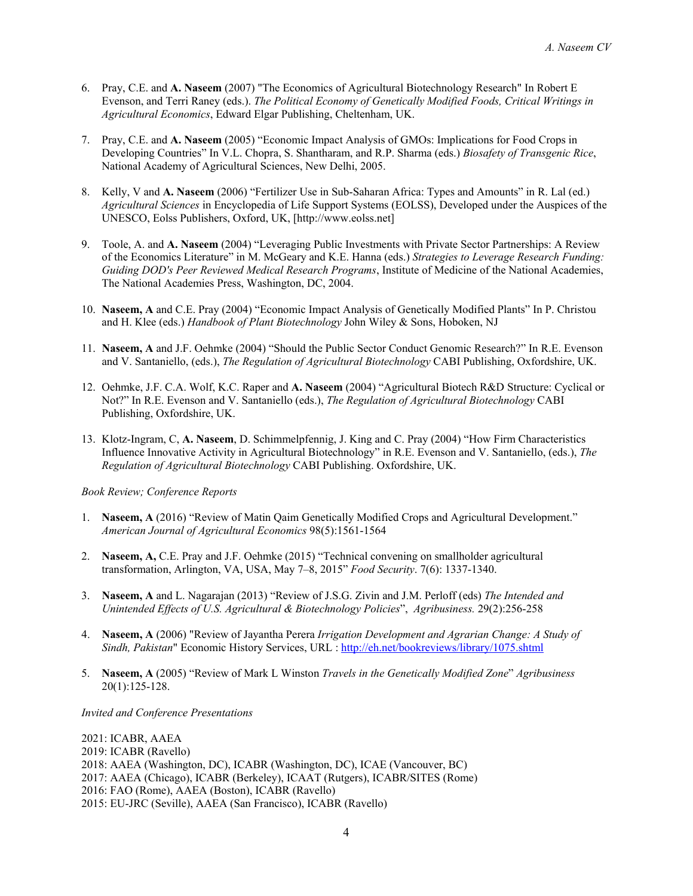- 6. Pray, C.E. and **A. Naseem** (2007) "The Economics of Agricultural Biotechnology Research" In Robert E Evenson, and Terri Raney (eds.). *The Political Economy of Genetically Modified Foods, Critical Writings in Agricultural Economics*, Edward Elgar Publishing, Cheltenham, UK.
- 7. Pray, C.E. and **A. Naseem** (2005) "Economic Impact Analysis of GMOs: Implications for Food Crops in Developing Countries" In V.L. Chopra, S. Shantharam, and R.P. Sharma (eds.) *Biosafety of Transgenic Rice*, National Academy of Agricultural Sciences, New Delhi, 2005.
- 8. Kelly, V and **A. Naseem** (2006) "Fertilizer Use in Sub-Saharan Africa: Types and Amounts" in R. Lal (ed.) *Agricultural Sciences* in Encyclopedia of Life Support Systems (EOLSS), Developed under the Auspices of the UNESCO, Eolss Publishers, Oxford, UK, [http://www.eolss.net]
- 9. Toole, A. and **A. Naseem** (2004) "Leveraging Public Investments with Private Sector Partnerships: A Review of the Economics Literature" in M. McGeary and K.E. Hanna (eds.) *Strategies to Leverage Research Funding: Guiding DOD's Peer Reviewed Medical Research Programs*, Institute of Medicine of the National Academies, The National Academies Press, Washington, DC, 2004.
- 10. **Naseem, A** and C.E. Pray (2004) "Economic Impact Analysis of Genetically Modified Plants" In P. Christou and H. Klee (eds.) *Handbook of Plant Biotechnology* John Wiley & Sons, Hoboken, NJ
- 11. **Naseem, A** and J.F. Oehmke (2004) "Should the Public Sector Conduct Genomic Research?" In R.E. Evenson and V. Santaniello, (eds.), *The Regulation of Agricultural Biotechnology* CABI Publishing, Oxfordshire, UK.
- 12. Oehmke, J.F. C.A. Wolf, K.C. Raper and **A. Naseem** (2004) "Agricultural Biotech R&D Structure: Cyclical or Not?" In R.E. Evenson and V. Santaniello (eds.), *The Regulation of Agricultural Biotechnology* CABI Publishing, Oxfordshire, UK.
- 13. Klotz-Ingram, C, **A. Naseem**, D. Schimmelpfennig, J. King and C. Pray (2004) "How Firm Characteristics Influence Innovative Activity in Agricultural Biotechnology" in R.E. Evenson and V. Santaniello, (eds.), *The Regulation of Agricultural Biotechnology* CABI Publishing. Oxfordshire, UK.

*Book Review; Conference Reports*

- 1. **Naseem, A** (2016) "Review of Matin Qaim Genetically Modified Crops and Agricultural Development." *American Journal of Agricultural Economics* 98(5):1561-1564
- 2. **Naseem, A,** C.E. Pray and J.F. Oehmke (2015) "Technical convening on smallholder agricultural transformation, Arlington, VA, USA, May 7–8, 2015" *Food Security*. 7(6): 1337-1340.
- 3. **Naseem, A** and L. Nagarajan (2013) "Review of J.S.G. Zivin and J.M. Perloff (eds) *The Intended and Unintended Effects of U.S. Agricultural & Biotechnology Policies*", *Agribusiness.* 29(2):256-258
- 4. **Naseem, A** (2006) "Review of Jayantha Perera *Irrigation Development and Agrarian Change: A Study of Sindh, Pakistan*" Economic History Services, URL [: http://eh.net/bookreviews/library/1075.shtml](http://eh.net/bookreviews/library/1075.shtml)
- 5. **Naseem, A** (2005) "Review of Mark L Winston *Travels in the Genetically Modified Zone*" *Agribusiness* 20(1):125-128.

*Invited and Conference Presentations*

2021: ICABR, AAEA 2019: ICABR (Ravello) 2018: AAEA (Washington, DC), ICABR (Washington, DC), ICAE (Vancouver, BC) 2017: AAEA (Chicago), ICABR (Berkeley), ICAAT (Rutgers), ICABR/SITES (Rome) 2016: FAO (Rome), AAEA (Boston), ICABR (Ravello) 2015: EU-JRC (Seville), AAEA (San Francisco), ICABR (Ravello)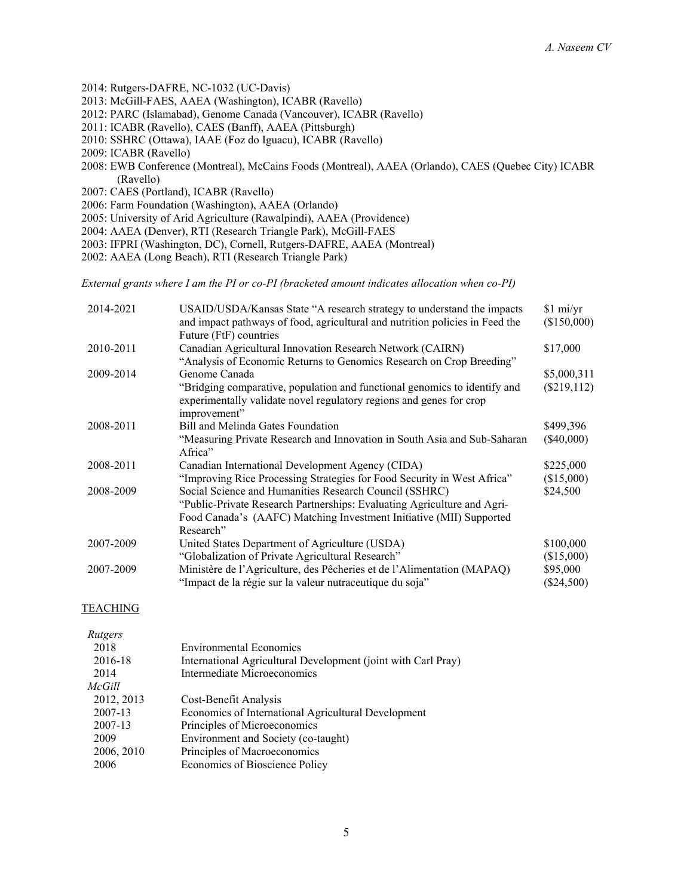- 2014: Rutgers-DAFRE, NC-1032 (UC-Davis)
- 2013: McGill-FAES, AAEA (Washington), ICABR (Ravello)
- 2012: PARC (Islamabad), Genome Canada (Vancouver), ICABR (Ravello)
- 2011: ICABR (Ravello), CAES (Banff), AAEA (Pittsburgh)
- 2010: SSHRC (Ottawa), IAAE (Foz do Iguacu), ICABR (Ravello)
- 2009: ICABR (Ravello)
- 2008: EWB Conference (Montreal), McCains Foods (Montreal), AAEA (Orlando), CAES (Quebec City) ICABR (Ravello)
- 2007: CAES (Portland), ICABR (Ravello)
- 2006: Farm Foundation (Washington), AAEA (Orlando)
- 2005: University of Arid Agriculture (Rawalpindi), AAEA (Providence)
- 2004: AAEA (Denver), RTI (Research Triangle Park), McGill-FAES
- 2003: IFPRI (Washington, DC), Cornell, Rutgers-DAFRE, AAEA (Montreal)
- 2002: AAEA (Long Beach), RTI (Research Triangle Park)

*External grants where I am the PI or co-PI (bracketed amount indicates allocation when co-PI)*

| 2014-2021 | USAID/USDA/Kansas State "A research strategy to understand the impacts                                                                           | \$1 mi/yr     |
|-----------|--------------------------------------------------------------------------------------------------------------------------------------------------|---------------|
|           | and impact pathways of food, agricultural and nutrition policies in Feed the<br>Future (FtF) countries                                           | (\$150,000)   |
| 2010-2011 | Canadian Agricultural Innovation Research Network (CAIRN)                                                                                        | \$17,000      |
|           | "Analysis of Economic Returns to Genomics Research on Crop Breeding"                                                                             |               |
| 2009-2014 | Genome Canada                                                                                                                                    | \$5,000,311   |
|           | "Bridging comparative, population and functional genomics to identify and<br>experimentally validate novel regulatory regions and genes for crop | $(\$219,112)$ |
|           | improvement"                                                                                                                                     |               |
| 2008-2011 | Bill and Melinda Gates Foundation                                                                                                                | \$499,396     |
|           | "Measuring Private Research and Innovation in South Asia and Sub-Saharan<br>Africa"                                                              | $(\$40,000)$  |
| 2008-2011 | Canadian International Development Agency (CIDA)                                                                                                 | \$225,000     |
|           | "Improving Rice Processing Strategies for Food Security in West Africa"                                                                          | (\$15,000)    |
| 2008-2009 | Social Science and Humanities Research Council (SSHRC)                                                                                           | \$24,500      |
|           | "Public-Private Research Partnerships: Evaluating Agriculture and Agri-                                                                          |               |
|           | Food Canada's (AAFC) Matching Investment Initiative (MII) Supported                                                                              |               |
|           | Research"                                                                                                                                        |               |
| 2007-2009 | United States Department of Agriculture (USDA)                                                                                                   | \$100,000     |
|           | "Globalization of Private Agricultural Research"                                                                                                 | (\$15,000)    |
| 2007-2009 | Ministère de l'Agriculture, des Pêcheries et de l'Alimentation (MAPAQ)                                                                           | \$95,000      |
|           | "Impact de la régie sur la valeur nutraceutique du soja"                                                                                         | $(\$24,500)$  |

#### TEACHING

| Rutgers    |                                                               |
|------------|---------------------------------------------------------------|
| 2018       | <b>Environmental Economics</b>                                |
| 2016-18    | International Agricultural Development (joint with Carl Pray) |
| 2014       | Intermediate Microeconomics                                   |
| McGill     |                                                               |
| 2012, 2013 | Cost-Benefit Analysis                                         |
| 2007-13    | Economics of International Agricultural Development           |
| 2007-13    | Principles of Microeconomics                                  |
| 2009       | Environment and Society (co-taught)                           |
| 2006, 2010 | Principles of Macroeconomics                                  |
| 2006       | Economics of Bioscience Policy                                |
|            |                                                               |